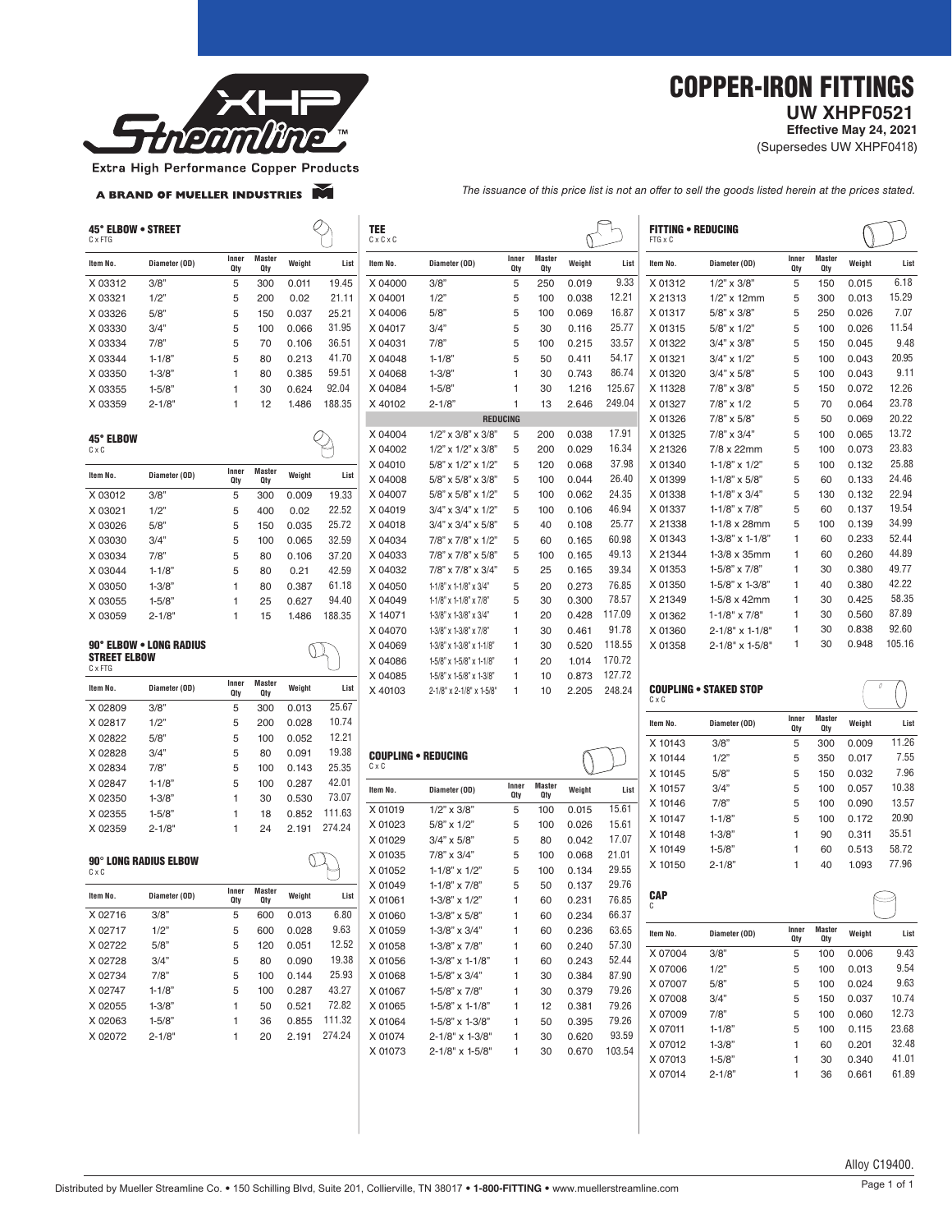

## COPPER-IRON FITTINGS  **UW XHPF0521**

**Effective May 24, 2021** 

(Supersedes UW XHPF0418)

Extra High Performance Copper Products

A BRAND OF MUELLER INDUSTRIES

*The issuance of this price list is not an offer to sell the goods listed herein at the prices stated.*

| 45° ELBOW • STREET<br>C x FTG |                              |                |                      |        |                | TEE<br>$C \times C \times C$ |                                                  |                 |                      |                |                | <b>FITTING • REDUCING</b><br>FTG x C |                               |                |                      |        |                 |
|-------------------------------|------------------------------|----------------|----------------------|--------|----------------|------------------------------|--------------------------------------------------|-----------------|----------------------|----------------|----------------|--------------------------------------|-------------------------------|----------------|----------------------|--------|-----------------|
| Item No.                      | Diameter (OD)                | Inner<br>Qty   | <b>Master</b><br>Qty | Weight | List           | Item No.                     | Diameter (OD)                                    | Inner<br>Qty    | <b>Master</b><br>Qty | Weight         | List           | Item No.                             | Diameter (OD)                 | Inner<br>Qty   | <b>Master</b><br>Qty | Weight | List            |
| X 03312                       | 3/8"                         | 5              | 300                  | 0.011  | 19.45          | X 04000                      | 3/8"                                             | 5               | 250                  | 0.019          | 9.33           | X 01312                              | $1/2$ " x $3/8$ "             | 5              | 150                  | 0.015  | 6.18            |
| X 03321                       | 1/2"                         | 5              | 200                  | 0.02   | 21.11          | X 04001                      | 1/2"                                             | 5               | 100                  | 0.038          | 12.21          | X 21313                              | $1/2$ " x 12mm                | 5              | 300                  | 0.013  | 15.29           |
| X 03326                       | 5/8"                         | 5              | 150                  | 0.037  | 25.21          | X 04006                      | 5/8"                                             | 5               | 100                  | 0.069          | 16.87          | X 01317                              | 5/8" x 3/8"                   | 5              | 250                  | 0.026  | 7.07            |
| X 03330                       | 3/4"                         | 5              | 100                  | 0.066  | 31.95          | X 04017                      | 3/4"                                             | 5               | 30                   | 0.116          | 25.77          | X 01315                              | 5/8" x 1/2"                   | 5              | 100                  | 0.026  | 11.54           |
| X 03334                       | 7/8"                         | 5              | 70                   | 0.106  | 36.51          | X 04031                      | 7/8"                                             | 5               | 100                  | 0.215          | 33.57          | X 01322                              | 3/4" x 3/8"                   | 5              | 150                  | 0.045  | 9.48            |
| X 03344                       | $1 - 1/8$                    | 5              | 80                   | 0.213  | 41.70          | X 04048                      | $1 - 1/8$                                        | 5               | 50                   | 0.411          | 54.17          | X 01321                              | 3/4" x 1/2"                   | 5              | 100                  | 0.043  | 20.95           |
| X 03350                       | $1 - 3/8$                    | -1             | 80                   | 0.385  | 59.51          | X 04068                      | $1 - 3/8$                                        | 1               | 30                   | 0.743          | 86.74          | X 01320                              | 3/4" x 5/8"                   | 5              | 100                  | 0.043  | 9.11            |
| X 03355                       | $1 - 5/8$                    | $\overline{1}$ | 30                   | 0.624  | 92.04          | X 04084                      | $1 - 5/8$                                        | 1               | 30                   | 1.216          | 125.67         | X 11328                              | 7/8" x 3/8"                   | 5              | 150                  | 0.072  | 12.26           |
| X 03359                       | $2 - 1/8'$                   | -1             | 12                   | 1.486  | 188.35         | X 40102                      | $2 - 1/8'$                                       | $\mathbf{1}$    | 13                   | 2.646          | 249.04         | X 01327                              | $7/8$ " x $1/2$               | 5              | 70                   | 0.064  | 23.78           |
|                               |                              |                |                      |        |                |                              |                                                  | <b>REDUCING</b> |                      |                |                | X 01326                              | 7/8" x 5/8"                   | 5              | 50                   | 0.069  | 20.22           |
|                               |                              |                |                      |        |                | X 04004                      | $1/2$ " x $3/8$ " x $3/8$ "                      | 5               | 200                  | 0.038          | 17.91          | X 01325                              | 7/8" x 3/4"                   | 5              | 100                  | 0.065  | 13.72           |
| 45° ELBOW<br>CxC              |                              |                |                      |        | $\varphi$      | X 04002                      | $1/2$ " x $1/2$ " x $3/8$ "                      | 5               | 200                  | 0.029          | 16.34          | X 21326                              | 7/8 x 22mm                    | 5              | 100                  | 0.073  | 23.83           |
|                               |                              |                |                      |        |                | X 04010                      | 5/8" x 1/2" x 1/2"                               | 5               | 120                  | 0.068          | 37.98          | X 01340                              | $1 - 1/8$ " x $1/2$ "         | 5              | 100                  | 0.132  | 25.88           |
| Item No.                      | Diameter (OD)                | Inner<br>Qty   | <b>Master</b><br>Qty | Weight | List           | X 04008                      | 5/8" x 5/8" x 3/8"                               | 5               | 100                  | 0.044          | 26.40          | X 01399                              | $1 - 1/8$ " x 5/8"            | 5              | 60                   | 0.133  | 24.46           |
| X 03012                       | 3/8"                         | 5              | 300                  | 0.009  | 19.33          | X 04007                      | 5/8" x 5/8" x 1/2"                               | 5               | 100                  | 0.062          | 24.35          | X 01338                              | 1-1/8" $\times$ 3/4"          | 5              | 130                  | 0.132  | 22.94           |
|                               |                              |                |                      |        | 22.52          | X 04019                      | $3/4$ " x $3/4$ " x $1/2$ "                      | 5               | 100                  | 0.106          | 46.94          | X 01337                              | $1 - 1/8$ " x 7/8"            | 5              | 60                   | 0.137  | 19.54           |
| X 03021                       | 1/2"                         | 5              | 400                  | 0.02   |                | X 04018                      | $3/4$ " x $3/4$ " x $5/8$ "                      | 5               | 40                   | 0.108          | 25.77          | X 21338                              | $1-1/8 \times 28$ mm          | 5              | 100                  | 0.139  | 34.99           |
| X 03026                       | 5/8"                         | 5              | 150                  | 0.035  | 25.72<br>32.59 |                              |                                                  |                 |                      |                | 60.98          | X 01343                              | $1 - 3/8$ " x $1 - 1/8$ "     | $\mathbf{1}$   | 60                   | 0.233  | 52.44           |
| X 03030                       | 3/4"                         | 5              | 100                  | 0.065  |                | X 04034                      | 7/8" x 7/8" x 1/2"                               | 5               | 60                   | 0.165          | 49.13          | X 21344                              | $1-3/8 \times 35$ mm          | 1              |                      | 0.260  | 44.89           |
| X 03034                       | 7/8"                         | $\sqrt{5}$     | 80                   | 0.106  | 37.20          | X 04033                      | 7/8" x 7/8" x 5/8"                               | 5               | 100                  | 0.165          |                | X 01353                              |                               |                | 60                   |        | 49.77           |
| X 03044                       | $1 - 1/8$                    | 5              | 80                   | 0.21   | 42.59          | X 04032                      | 7/8" x 7/8" x 3/4"                               | 5               | 25                   | 0.165          | 39.34          |                                      | 1-5/8" x 7/8"                 | $\mathbf{1}$   | 30                   | 0.380  | 42.22           |
| X 03050                       | $1 - 3/8$                    | $\overline{1}$ | 80                   | 0.387  | 61.18          | X 04050                      | 1-1/8" x 1-1/8" x 3/4"                           | 5               | 20                   | 0.273          | 76.85          | X 01350                              | $1 - 5/8$ " x $1 - 3/8$ "     | $\mathbf{1}$   | 40                   | 0.380  | 58.35           |
| X 03055                       | $1 - 5/8$                    | $\overline{1}$ | 25                   | 0.627  | 94.40          | X 04049                      | 1-1/8" x 1-1/8" x 7/8"                           | 5               | 30                   | 0.300          | 78.57          | X 21349                              | 1-5/8 x 42mm                  | $\overline{1}$ | 30                   | 0.425  |                 |
| X 03059                       | $2 - 1/8$                    | -1             | 15                   | 1.486  | 188.35         | X 14071                      | $1-3/8$ " x $1-3/8$ " x $3/4$ "                  | 1               | 20                   | 0.428          | 117.09         | X 01362                              | $1 - 1/8" \times 7/8"$        | $\mathbf{1}$   | 30                   | 0.560  | 87.89           |
|                               |                              |                |                      |        |                | X 04070                      | $1-3/8"$ x $1-3/8"$ x $7/8"$                     | 1               | 30                   | 0.461          | 91.78          | X 01360                              | $2 - 1/8" \times 1 - 1/8'$    | -1             | 30                   | 0.838  | 92.60<br>105.16 |
| <b>STREET ELBOW</b>           | 90° ELBOW . LONG RADIUS      |                |                      |        |                | X 04069                      | $1-3/8$ " x $1-3/8$ " x $1-1/8$ "                | 1               | 30                   | 0.520          | 118.55         | X 01358                              | $2 - 1/8" \times 1 - 5/8"$    | $\mathbf{1}$   | 30                   | 0.948  |                 |
| C x FTG                       |                              |                |                      |        |                | X 04086                      | 1-5/8" x 1-5/8" x 1-1/8"                         | 1               | 20                   | 1.014          | 170.72         |                                      |                               |                |                      |        |                 |
| Item No.                      | Diameter (OD)                | Inner          | <b>Master</b>        | Weight | List           | X 04085                      | 1-5/8" x 1-5/8" x 1-3/8"                         | 1               | 10                   | 0.873          | 127.72         |                                      |                               |                |                      |        |                 |
| X 02809                       | 3/8"                         | Qty<br>5       | Qty<br>300           | 0.013  | 25.67          | X 40103                      | $2 - 1/8$ " x $2 - 1/8$ " x $1 - 5/8$ "          | 1               | 10                   | 2.205          | 248.24         | $C \times C$                         | <b>COUPLING . STAKED STOP</b> |                |                      |        |                 |
| X 02817                       | 1/2"                         | 5              | 200                  | 0.028  | 10.74          |                              |                                                  |                 |                      |                |                | Item No.                             | Diameter (OD)                 | Inner          | <b>Master</b>        | Weight | List            |
| X 02822                       | 5/8"                         | 5              | 100                  | 0.052  | 12.21          |                              |                                                  |                 |                      |                |                |                                      |                               | Qty            | Qty                  |        |                 |
|                               | 3/4"                         |                |                      |        |                |                              |                                                  |                 |                      |                |                | X 10143                              | 3/8'                          | 5              | 300                  | 0.009  | 11.26           |
| X 02828                       |                              | 5              | 80                   | 0.091  | 19.38<br>25.35 | CxC                          | <b>COUPLING . REDUCING</b>                       |                 |                      |                |                | X 10144                              | 1/2"                          | 5              | 350                  | 0.017  | 7.55            |
| X 02834                       | 7/8"                         | 5              | 100                  | 0.143  |                |                              |                                                  |                 |                      |                |                | X 10145                              | 5/8"                          | 5              | 150                  | 0.032  | 7.96            |
| X 02847                       | $1 - 1/8$                    | 5              | 100                  | 0.287  | 42.01          | Item No.                     | Diameter (OD)                                    | Inner<br>Qty    | <b>Master</b><br>Qty | Weight         | List           | X 10157                              | 3/4"                          | 5              | 100                  | 0.057  | 10.38           |
| X 02350                       | $1 - 3/8$                    | -1             | 30                   | 0.530  | 73.07          | X 01019                      | $1/2$ " x $3/8$ "                                | 5               | 100                  | 0.015          | 15.61          | X 10146                              | 7/8"                          | 5              | 100                  | 0.090  | 13.57           |
| X 02355                       | $1 - 5/8$                    | $\overline{1}$ | 18                   | 0.852  | 111.63         | X 01023                      | 5/8" x 1/2"                                      | 5               |                      | 0.026          | 15.61          | X 10147                              | $1 - 1/8$                     | 5              | 100                  | 0.172  | 20.90           |
| X 02359                       | $2 - 1/8'$                   | $\overline{1}$ | 24                   | 2.191  | 274.24         | X 01029                      | $3/4" \times 5/8"$                               | 5               | 100<br>80            | 0.042          | 17.07          | X 10148                              | $1 - 3/8$ "                   | 1              | 90                   | 0.311  | 35.51           |
|                               |                              |                |                      |        |                |                              |                                                  |                 |                      |                | 21.01          | X 10149                              | $1 - 5/8$                     | 1              | 60                   | 0.513  | 58.72           |
|                               | <b>90° LONG RADIUS ELBOW</b> |                |                      |        |                | X 01035<br>X 01052           | $7/8$ " x $3/4$ "                                | 5               | 100                  | 0.068          | 29.55          | X 10150                              | $2 - 1/8'$                    | 1              | 40                   | 1.093  | 77.96           |
| CxC                           |                              |                |                      |        |                |                              | $1 - 1/8$ " x $1/2$ "                            | 5               | 100                  | 0.134          |                |                                      |                               |                |                      |        |                 |
| Item No.                      | Diameter (OD)                | Inner<br>Qty   | <b>Master</b><br>Qty | Weight | List           | X 01049<br>X 01061           | $1 - 1/8" \times 7/8"$<br>$1 - 3/8" \times 1/2"$ | 5<br>1          | 50<br>60             | 0.137<br>0.231 | 29.76<br>76.85 | <b>CAP</b>                           |                               |                |                      |        |                 |
| X 02716                       | 3/8"                         | 5              | 600                  | 0.013  | 6.80           | X 01060                      | $1-3/8" \times 5/8"$                             | $\mathbf{1}$    | 60                   | 0.234          | 66.37          | C                                    |                               |                |                      |        |                 |
| X 02717                       | 1/2"                         | 5              | 600                  | 0.028  | 9.63           | X 01059                      | 1-3/8" x 3/4"                                    | 1               | 60                   | 0.236          | 63.65          | Item No.                             | Diameter (OD)                 | Inner          | <b>Master</b>        | Weight | List            |
| X 02722                       | 5/8"                         | 5              | 120                  | 0.051  | 12.52          | X 01058                      | 1-3/8" x 7/8"                                    | 1               | 60                   | 0.240          | 57.30          |                                      |                               | Qty            | Qty                  |        |                 |
| X 02728                       | 3/4"                         | 5              | 80                   | 0.090  | 19.38          | X 01056                      | $1-3/8"$ x $1-1/8"$                              | 1               | 60                   | 0.243          | 52.44          | X 07004                              | 3/8"                          | 5              | 100                  | 0.006  | 9.43            |
| X 02734                       | 7/8"                         | 5              | 100                  | 0.144  | 25.93          | X 01068                      | 1-5/8" x 3/4"                                    | $\mathbf{1}$    | 30                   | 0.384          | 87.90          | X 07006                              | 1/2"                          | 5              | 100                  | 0.013  | 9.54            |
| X 02747                       | $1 - 1/8"$                   | 5              | 100                  | 0.287  | 43.27          | X 01067                      | 1-5/8" x 7/8"                                    | 1               | 30                   | 0.379          | 79.26          | X 07007                              | 5/8"                          | 5              | 100                  | 0.024  | 9.63            |
| X 02055                       | $1 - 3/8"$                   | -1             | 50                   | 0.521  | 72.82          | X 01065                      | $1-5/8$ " x $1-1/8$ "                            | 1               | 12                   | 0.381          | 79.26          | X 07008                              | 3/4"                          | 5              | 150                  | 0.037  | 10.74           |
| X 02063                       | $1 - 5/8$ "                  | 1              | 36                   | 0.855  | 111.32         | X 01064                      | 1-5/8" x 1-3/8"                                  |                 | 50                   | 0.395          | 79.26          | X 07009                              | 7/8"                          | 5              | 100                  | 0.060  | 12.73           |
| X 02072                       |                              |                |                      |        | 274.24         |                              |                                                  | 1               |                      |                | 93.59          | X 07011                              | $1 - 1/8$                     | 5              | 100                  | 0.115  | 23.68           |
|                               | $2 - 1/8"$                   | -1             | 20                   | 2.191  |                | X 01074                      | $2 - 1/8" \times 1 - 3/8"$                       | 1               | 30                   | 0.620          |                | X 07012                              | $1 - 3/8"$                    | $\mathbf{1}$   | 60                   | 0.201  | 32.48           |
|                               |                              |                |                      |        |                | X 01073                      | 2-1/8" x 1-5/8"                                  | 1               | 30                   | 0.670          | 103.54         | X 07013                              | $1 - 5/8"$                    | $\mathbf{1}$   | 30                   | 0.340  | 41.01           |
|                               |                              |                |                      |        |                |                              |                                                  |                 |                      |                |                | X 07014                              | $2 - 1/8"$                    | $\mathbf{1}$   | 36                   | 0.661  | 61.89           |